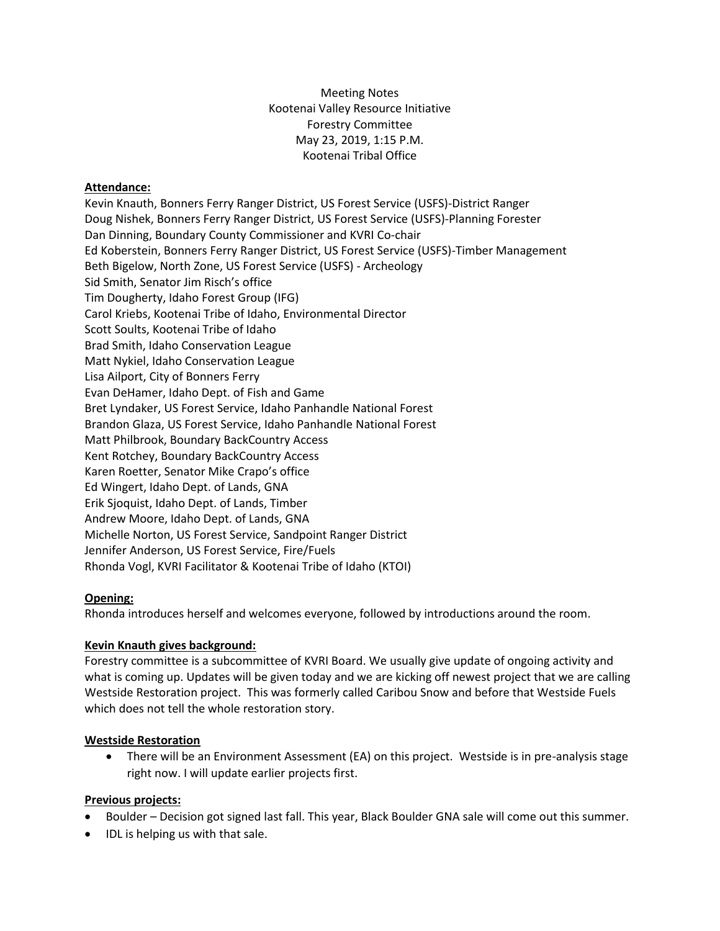Meeting Notes Kootenai Valley Resource Initiative Forestry Committee May 23, 2019, 1:15 P.M. Kootenai Tribal Office

### **Attendance:**

Kevin Knauth, Bonners Ferry Ranger District, US Forest Service (USFS)-District Ranger Doug Nishek, Bonners Ferry Ranger District, US Forest Service (USFS)-Planning Forester Dan Dinning, Boundary County Commissioner and KVRI Co-chair Ed Koberstein, Bonners Ferry Ranger District, US Forest Service (USFS)-Timber Management Beth Bigelow, North Zone, US Forest Service (USFS) - Archeology Sid Smith, Senator Jim Risch's office Tim Dougherty, Idaho Forest Group (IFG) Carol Kriebs, Kootenai Tribe of Idaho, Environmental Director Scott Soults, Kootenai Tribe of Idaho Brad Smith, Idaho Conservation League Matt Nykiel, Idaho Conservation League Lisa Ailport, City of Bonners Ferry Evan DeHamer, Idaho Dept. of Fish and Game Bret Lyndaker, US Forest Service, Idaho Panhandle National Forest Brandon Glaza, US Forest Service, Idaho Panhandle National Forest Matt Philbrook, Boundary BackCountry Access Kent Rotchey, Boundary BackCountry Access Karen Roetter, Senator Mike Crapo's office Ed Wingert, Idaho Dept. of Lands, GNA Erik Sjoquist, Idaho Dept. of Lands, Timber Andrew Moore, Idaho Dept. of Lands, GNA Michelle Norton, US Forest Service, Sandpoint Ranger District Jennifer Anderson, US Forest Service, Fire/Fuels Rhonda Vogl, KVRI Facilitator & Kootenai Tribe of Idaho (KTOI)

### **Opening:**

Rhonda introduces herself and welcomes everyone, followed by introductions around the room.

#### **Kevin Knauth gives background:**

Forestry committee is a subcommittee of KVRI Board. We usually give update of ongoing activity and what is coming up. Updates will be given today and we are kicking off newest project that we are calling Westside Restoration project. This was formerly called Caribou Snow and before that Westside Fuels which does not tell the whole restoration story.

#### **Westside Restoration**

• There will be an Environment Assessment (EA) on this project. Westside is in pre-analysis stage right now. I will update earlier projects first.

#### **Previous projects:**

- Boulder Decision got signed last fall. This year, Black Boulder GNA sale will come out this summer.
- IDL is helping us with that sale.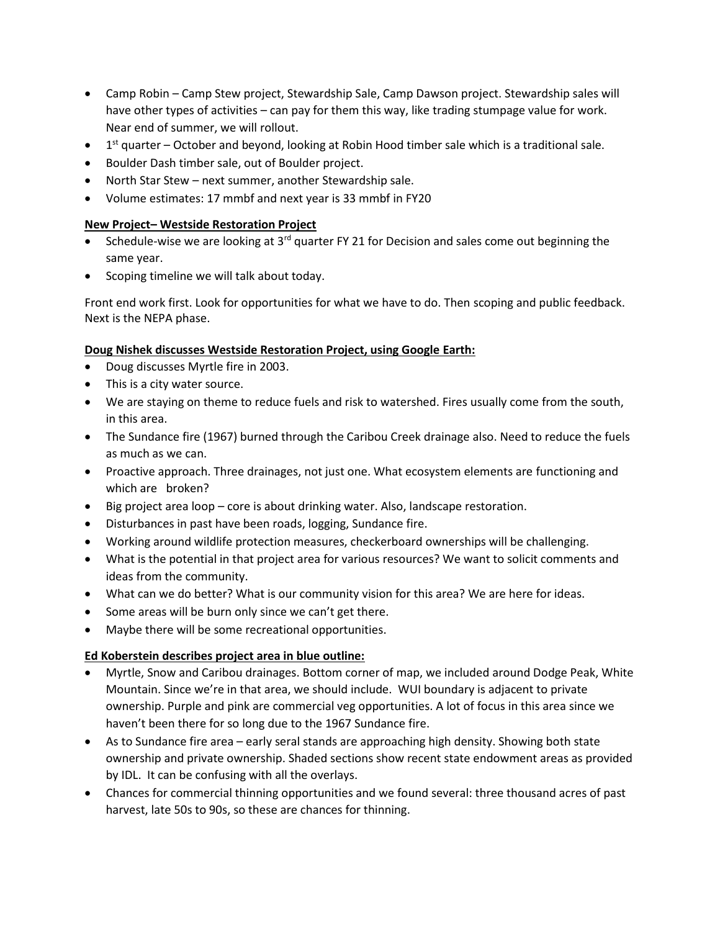- Camp Robin Camp Stew project, Stewardship Sale, Camp Dawson project. Stewardship sales will have other types of activities – can pay for them this way, like trading stumpage value for work. Near end of summer, we will rollout.
- $\bullet$  1<sup>st</sup> quarter October and beyond, looking at Robin Hood timber sale which is a traditional sale.
- Boulder Dash timber sale, out of Boulder project.
- North Star Stew next summer, another Stewardship sale.
- Volume estimates: 17 mmbf and next year is 33 mmbf in FY20

## **New Project– Westside Restoration Project**

- Schedule-wise we are looking at  $3^{rd}$  quarter FY 21 for Decision and sales come out beginning the same year.
- Scoping timeline we will talk about today.

Front end work first. Look for opportunities for what we have to do. Then scoping and public feedback. Next is the NEPA phase.

## **Doug Nishek discusses Westside Restoration Project, using Google Earth:**

- Doug discusses Myrtle fire in 2003.
- This is a city water source.
- We are staying on theme to reduce fuels and risk to watershed. Fires usually come from the south, in this area.
- The Sundance fire (1967) burned through the Caribou Creek drainage also. Need to reduce the fuels as much as we can.
- Proactive approach. Three drainages, not just one. What ecosystem elements are functioning and which are broken?
- Big project area loop core is about drinking water. Also, landscape restoration.
- Disturbances in past have been roads, logging, Sundance fire.
- Working around wildlife protection measures, checkerboard ownerships will be challenging.
- What is the potential in that project area for various resources? We want to solicit comments and ideas from the community.
- What can we do better? What is our community vision for this area? We are here for ideas.
- Some areas will be burn only since we can't get there.
- Maybe there will be some recreational opportunities.

# **Ed Koberstein describes project area in blue outline:**

- Myrtle, Snow and Caribou drainages. Bottom corner of map, we included around Dodge Peak, White Mountain. Since we're in that area, we should include. WUI boundary is adjacent to private ownership. Purple and pink are commercial veg opportunities. A lot of focus in this area since we haven't been there for so long due to the 1967 Sundance fire.
- As to Sundance fire area early seral stands are approaching high density. Showing both state ownership and private ownership. Shaded sections show recent state endowment areas as provided by IDL. It can be confusing with all the overlays.
- Chances for commercial thinning opportunities and we found several: three thousand acres of past harvest, late 50s to 90s, so these are chances for thinning.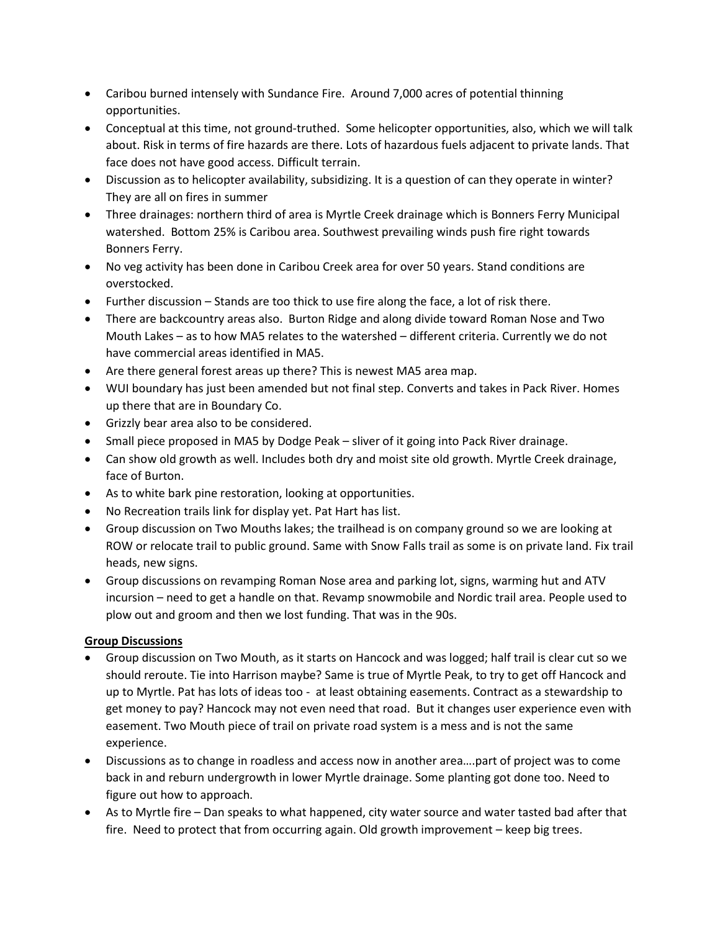- Caribou burned intensely with Sundance Fire. Around 7,000 acres of potential thinning opportunities.
- Conceptual at this time, not ground-truthed. Some helicopter opportunities, also, which we will talk about. Risk in terms of fire hazards are there. Lots of hazardous fuels adjacent to private lands. That face does not have good access. Difficult terrain.
- Discussion as to helicopter availability, subsidizing. It is a question of can they operate in winter? They are all on fires in summer
- Three drainages: northern third of area is Myrtle Creek drainage which is Bonners Ferry Municipal watershed. Bottom 25% is Caribou area. Southwest prevailing winds push fire right towards Bonners Ferry.
- No veg activity has been done in Caribou Creek area for over 50 years. Stand conditions are overstocked.
- Further discussion Stands are too thick to use fire along the face, a lot of risk there.
- There are backcountry areas also. Burton Ridge and along divide toward Roman Nose and Two Mouth Lakes – as to how MA5 relates to the watershed – different criteria. Currently we do not have commercial areas identified in MA5.
- Are there general forest areas up there? This is newest MA5 area map.
- WUI boundary has just been amended but not final step. Converts and takes in Pack River. Homes up there that are in Boundary Co.
- Grizzly bear area also to be considered.
- Small piece proposed in MA5 by Dodge Peak sliver of it going into Pack River drainage.
- Can show old growth as well. Includes both dry and moist site old growth. Myrtle Creek drainage, face of Burton.
- As to white bark pine restoration, looking at opportunities.
- No Recreation trails link for display yet. Pat Hart has list.
- Group discussion on Two Mouths lakes; the trailhead is on company ground so we are looking at ROW or relocate trail to public ground. Same with Snow Falls trail as some is on private land. Fix trail heads, new signs.
- Group discussions on revamping Roman Nose area and parking lot, signs, warming hut and ATV incursion – need to get a handle on that. Revamp snowmobile and Nordic trail area. People used to plow out and groom and then we lost funding. That was in the 90s.

# **Group Discussions**

- Group discussion on Two Mouth, as it starts on Hancock and was logged; half trail is clear cut so we should reroute. Tie into Harrison maybe? Same is true of Myrtle Peak, to try to get off Hancock and up to Myrtle. Pat has lots of ideas too - at least obtaining easements. Contract as a stewardship to get money to pay? Hancock may not even need that road. But it changes user experience even with easement. Two Mouth piece of trail on private road system is a mess and is not the same experience.
- Discussions as to change in roadless and access now in another area….part of project was to come back in and reburn undergrowth in lower Myrtle drainage. Some planting got done too. Need to figure out how to approach.
- As to Myrtle fire Dan speaks to what happened, city water source and water tasted bad after that fire. Need to protect that from occurring again. Old growth improvement – keep big trees.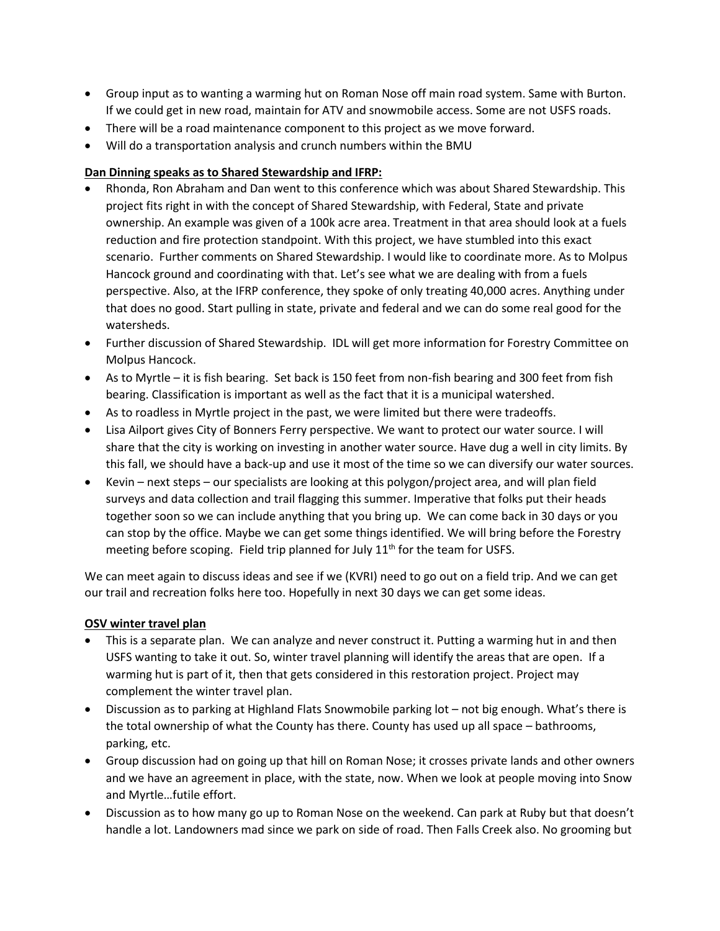- Group input as to wanting a warming hut on Roman Nose off main road system. Same with Burton. If we could get in new road, maintain for ATV and snowmobile access. Some are not USFS roads.
- There will be a road maintenance component to this project as we move forward.
- Will do a transportation analysis and crunch numbers within the BMU

# **Dan Dinning speaks as to Shared Stewardship and IFRP:**

- Rhonda, Ron Abraham and Dan went to this conference which was about Shared Stewardship. This project fits right in with the concept of Shared Stewardship, with Federal, State and private ownership. An example was given of a 100k acre area. Treatment in that area should look at a fuels reduction and fire protection standpoint. With this project, we have stumbled into this exact scenario. Further comments on Shared Stewardship. I would like to coordinate more. As to Molpus Hancock ground and coordinating with that. Let's see what we are dealing with from a fuels perspective. Also, at the IFRP conference, they spoke of only treating 40,000 acres. Anything under that does no good. Start pulling in state, private and federal and we can do some real good for the watersheds.
- Further discussion of Shared Stewardship. IDL will get more information for Forestry Committee on Molpus Hancock.
- As to Myrtle it is fish bearing. Set back is 150 feet from non-fish bearing and 300 feet from fish bearing. Classification is important as well as the fact that it is a municipal watershed.
- As to roadless in Myrtle project in the past, we were limited but there were tradeoffs.
- Lisa Ailport gives City of Bonners Ferry perspective. We want to protect our water source. I will share that the city is working on investing in another water source. Have dug a well in city limits. By this fall, we should have a back-up and use it most of the time so we can diversify our water sources.
- Kevin next steps our specialists are looking at this polygon/project area, and will plan field surveys and data collection and trail flagging this summer. Imperative that folks put their heads together soon so we can include anything that you bring up. We can come back in 30 days or you can stop by the office. Maybe we can get some things identified. We will bring before the Forestry meeting before scoping. Field trip planned for July 11<sup>th</sup> for the team for USFS.

We can meet again to discuss ideas and see if we (KVRI) need to go out on a field trip. And we can get our trail and recreation folks here too. Hopefully in next 30 days we can get some ideas.

### **OSV winter travel plan**

- This is a separate plan. We can analyze and never construct it. Putting a warming hut in and then USFS wanting to take it out. So, winter travel planning will identify the areas that are open. If a warming hut is part of it, then that gets considered in this restoration project. Project may complement the winter travel plan.
- Discussion as to parking at Highland Flats Snowmobile parking lot not big enough. What's there is the total ownership of what the County has there. County has used up all space – bathrooms, parking, etc.
- Group discussion had on going up that hill on Roman Nose; it crosses private lands and other owners and we have an agreement in place, with the state, now. When we look at people moving into Snow and Myrtle…futile effort.
- Discussion as to how many go up to Roman Nose on the weekend. Can park at Ruby but that doesn't handle a lot. Landowners mad since we park on side of road. Then Falls Creek also. No grooming but